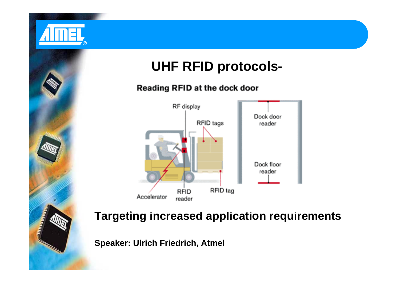

#### Reading RFID at the dock door



**Targeting increased application requirements**

**Speaker: Ulrich Friedrich, Atmel**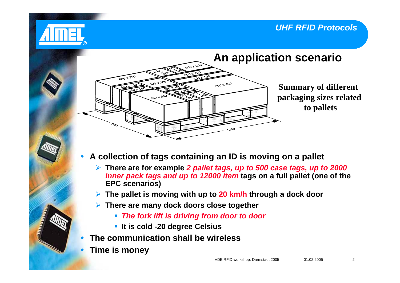

- $\bullet$  **A collection of tags containing an ID is moving on a pallet**
	- ¾ **There are for example** *2 pallet tags, up to 500 case tags, up to 2000 inner pack tags and up to 12000 item* **tags on a full pallet (one of the EPC scenarios)**
	- ¾**The pallet is moving with up to 20 km/h through a dock door**
	- ¾ **There are many dock doors close together**
		- *The fork lift is driving from door to door*
		- **It is cold -20 degree Celsius**
- $\bullet$ **The communication shall be wireless**
- $\bullet$ **Time is money**

®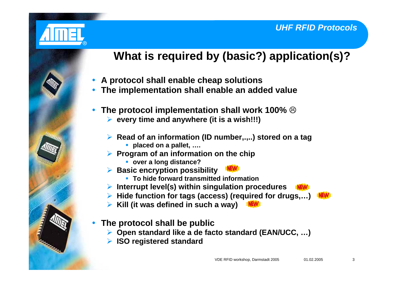

# **What is required by (basic?) application(s)?**

- $\bullet$ **A protocol shall enable cheap solutions**
- $\bullet$ **The implementation shall enable an added value**
- $\bullet$ **• The protocol implementation shall work 100%**  $\circledcirc$ 
	- ¾ **every time and anywhere (it is a wish!!!)**
	- ¾ **Read of an information (ID number,.,..) stored on a tag**
		- **placed on a pallet, ….**
	- ¾ **Program of an information on the chip**
		- **over a long distance?**
	- ¾ **Basic encryption possibility**
		- **To hide forward transmitted information**
	- ¾ **Interrupt level(s) within singulation procedures**
	- ¾ **Hide function for tags (access) (required for drugs,…)**
	- ¾ **Kill (it was defined in such a way)**
- $\bullet$  **The protocol shall be public**
	- ¾ **Open standard like a de facto standard (EAN/UCC, …)**
	- ¾ **ISO registered standard**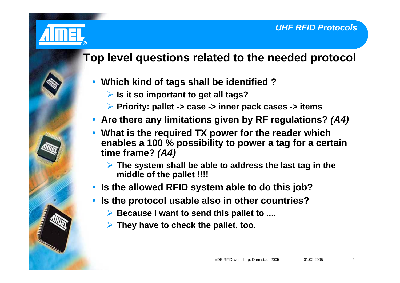

## **Top level questions related to the needed protocol**

- y **Which kind of tags shall be identified ?**
	- ¾ **Is it so important to get all tags?**
	- ¾ **Priority: pallet -> case -> inner pack cases -> items**
- Are there any limitations given by RF regulations? *(A4)*
- $\bullet$  **What is the required TX power for the reader which enables a 100 % possibility to power a tag for a certain time frame?** *(A4)*
	- ¾ **The system shall be able to address the last tag in the middle of the pallet !!!!**
- **Is the allowed RFID system able to do this job?**
- $\bullet$  **Is the protocol usable also in other countries?**
	- ¾ **Because I want to send this pallet to ....**
	- ¾ **They have to check the pallet, too.**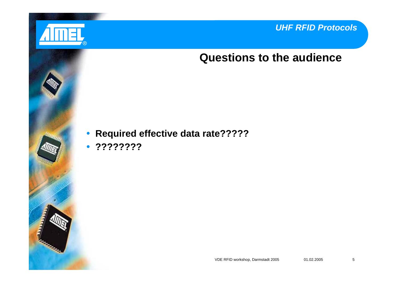

## **Questions to the audience**

**• Required effective data rate?????** 

y **????????**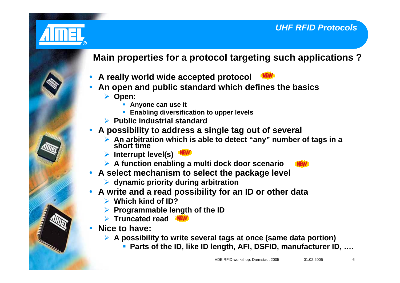

## **Main properties for a protocol targeting such applications ?**

- $\bullet$ **A really world wide accepted protocol**
- $\bullet$  **An open and public standard which defines the basics**
	- ¾ **Open:**
		- **Anyone can use it**
		- **Enabling diversification to upper levels**
	- ¾ **Public industrial standard**
- $\bullet$  **A possibility to address a single tag out of several**
	- ¾ **An arbitration which is able to detect "any" number of tags in a short time**
	- ¾ **Interrupt level(s)**
	- ¾ **A function enabling a multi dock door scenario**
- **A select mechanism to select the package level** 
	- ¾ **dynamic priority during arbitration**
- $\bullet$  **A write and a read possibility for an ID or other data**
	- ¾**Which kind of ID?**
	- ¾**Programmable length of the ID**
	- ¾ **Truncated read**
- $\bullet$  **Nice to have:**
	- ¾ **A possibility to write several tags at once (same data portion)**
		- **Parts of the ID, like ID length, AFI, DSFID, manufacturer ID, ….**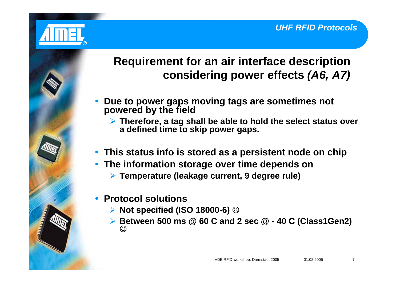

## **Requirement for an air interface description considering power effects** *(A6, A7)*

- $\bullet$  **Due to power gaps moving tags are sometimes not powered by the field**
	- ¾ **Therefore, a tag shall be able to hold the select status over a defined time to skip power gaps.**
- **This status info is stored as a persistent node on chip**
- **The information storage over time depends on** 
	- ¾ **Temperature (leakage current, 9 degree rule)**

#### $\bullet$ **Protocol solutions**

- ¾ **Not specified (ISO 18000-6)**  /
- ¾ **Between 500 ms @ 60 C and 2 sec @ 40 C (Class1Gen2)** ☺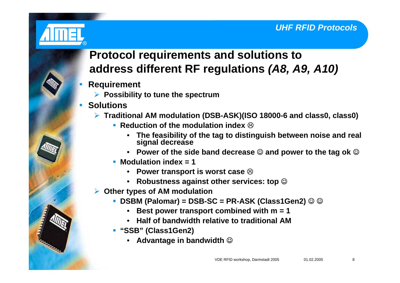

## **Protocol requirements and solutions to address different RF regulations** *(A8, A9, A10)*

- $\bullet$  **Requirement**
	- ¾ **Possibility to tune the spectrum**
- $\bullet$  **Solutions**
	- ¾ **Traditional AM modulation (DSB-ASK)(ISO 18000-6 and class0, class0)**
		- **Example 2 Reduction of the modulation index**  $\otimes$ 
			- **The feasibility of the tag to distinguish between noise and real signal decrease**
			- $\bullet$  Power of the side band decrease  $\mathbb \odot$  and power to the tag ok  $\mathbb \odot$
		- **Modulation index = 1**
			- $\bullet$  Power transport is worst case  $\otimes$
			- **Robustness against other services: top**  ☺
	- ¾ **Other types of AM modulation**
		- DSBM (Palomar) = DSB-SC = PR-ASK (Class1Gen2) ☺ ☺
			- **Best power transport combined with m = 1**
			- **Half of bandwidth relative to traditional AM**
		- **"SSB" (Class1Gen2)**
			- **Advantage in bandwidth**  ☺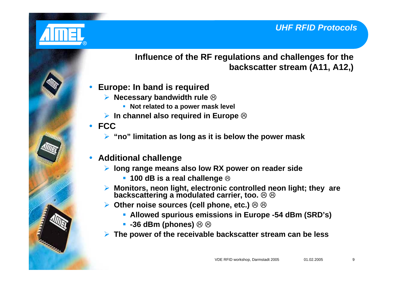

**Influence of the RF regulations and challenges for the backscatter stream (A11, A12,)**

- $\bullet$  **Europe: In band is required**
	- ¾ **Necessary bandwidth rule**  /
		- **Not related to a power mask level**
	- **▶ In channel also required in Europe <sup>⊗</sup>**
- y **FCC**
	- ¾ **"no" limitation as long as it is below the power mask**
- $\bullet$  **Additional challenge**
	- ¾ **long range means also low RX power on reader side**
		- 100 dB is a real challenge **⊗**
	- ¾ **Monitors, neon light, electronic controlled neon light; they are backscattering a modulated carrier, too.**   $\otimes$   $\otimes$
	- **▶ Other noise sources (cell phone, etc.)**  $\circledcirc \circledcirc$ 
		- **Allowed spurious emissions in Europe -54 dBm (SRD's)**
		- **-36 dBm (phones)**  $\circledcirc$  $\circledcirc$
	- ¾**The power of the receivable backscatter stream can be less**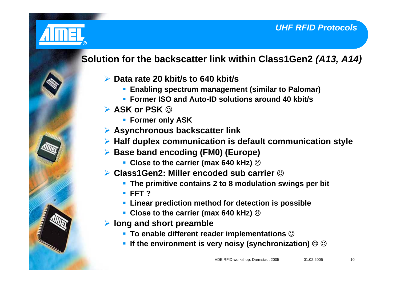

## **Solution for the backscatter link within Class1Gen2** *(A13, A14)*

- ¾ **Data rate 20 kbit/s to 640 kbit/s**
	- **Enabling spectrum management (similar to Palomar)**
	- **Former ISO and Auto-ID solutions around 40 kbit/s**
- ¾ **ASK or PSK**  ☺
	- **Former only ASK**
- ¾ **Asynchronous backscatter link**
- ¾ **Half duplex communication is default communication style**
- ¾ **Base band encoding (FM0) (Europe)**
	- **Close to the carrier (max 640 kHz)**  $\odot$
- **▶ Class1Gen2: Miller encoded sub carrier ⓒ** 
	- **The primitive contains 2 to 8 modulation swings per bit**
	- **FFT ?**
	- **Linear prediction method for detection is possible**
	- Close to the carrier (max 640 kHz) **<sup>⊗</sup>**
- ¾ **long and short preamble**
	- To enable different reader implementations **☺**
	- If the environment is very noisy (synchronization) ☺ ☺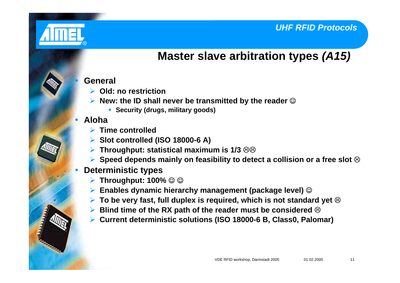

 $\bullet$ 

 $\bullet$ 

## **Master slave arbitration types** *(A15)*

#### **General**

- ¾ **Old: no restriction**
- **▶ New: the ID shall never be transmitted by the reader ⓒ** 
	- **Security (drugs, military goods)**

#### **Aloha**

- ¾ **Time controlled**
- ¾ **Slot controlled (ISO 18000-6 A)**
- **▶ Throughput: statistical maximum is 1/3 88**
- ¾**▶ Speed depends mainly on feasibility to detect a collision or a free slot <sup>⊗</sup>**

#### $\bullet$ **Deterministic types**

- ¾ **Throughput: 100%**  ☺ ☺
- ¾ **Enables dynamic hierarchy management (package level)**  ☺
- ¾ **To be very fast, full duplex is required, which is not standard yet**  /
- **▶ Blind time of the RX path of the reader must be considered <sup>⊗</sup>**
- $\blacktriangleright$ **Current deterministic solutions (ISO 18000-6 B, Class0, Palomar)**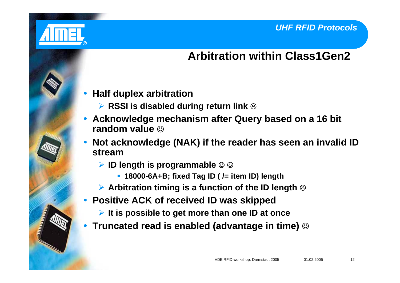

## **Arbitration within Class1Gen2**

- $\bullet$  **Half duplex arbitration**
	- **▶ RSSI is disabled during return link ☺**
- $\bullet$  **Acknowledge mechanism after Query based on a 16 bit random value** ☺
- $\bullet$  **Not acknowledge (NAK) if the reader has seen an invalid ID stream**
	- **▶ ID length is programmable ☺☺** 
		- **18000-6A+B; fixed Tag ID ( /= item ID) length**
	- **▶ Arbitration timing is a function of the ID length <sup>⊗</sup>**
- $\bullet$  **Positive ACK of received ID was skipped**
	- ¾ **It is possible to get more than one ID at once**
- $\bullet$ **▪ Truncated read is enabled (advantage in time) ☺**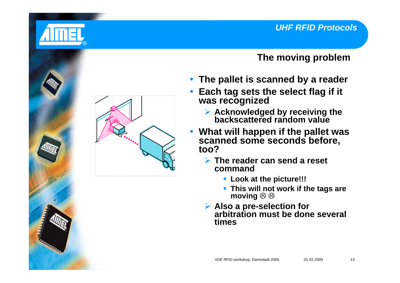

### **The moving problem**

- **The pallet is scanned by a reader**
- $\bullet$  **Each tag sets the select flag if it was recognized**
	- ¾ **Acknowledged by receiving the backscattered random value**
- $\bullet$  **What will happen if the pallet was scanned some seconds before, too?**
	- ¾ **The reader can send a reset command**
		- **Look at the picture!!!**
		- **This will not work if the tags are moving**   $\otimes$   $\otimes$
	- Also a pre-selection for **Also a pre-selection for arbitration must be done severaltimes**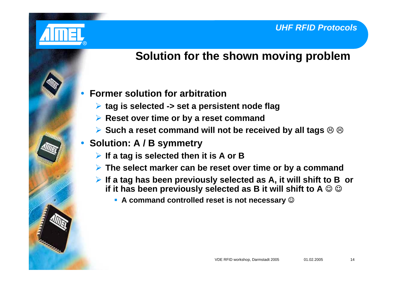

## **Solution for the shown moving problem**

- $\bullet$  **Former solution for arbitration**
	- ¾ **tag is selected -> set a persistent node flag**
	- ¾ **Reset over time or by a reset command**
	- **▶ Such a reset command will not be received by all tags**  $\circledcirc \circledcirc$
- y **Solution: A / B symmetry**
	- ¾ **If a tag is selected then it is A or B**
	- ¾ **The select marker can be reset over time or by a command**
	- ¾ **If a tag has been previously selected as A, it will shift to B or** if it has been previously selected as B it will shift to A ☺ ☺
		- A command controlled reset is not necessary **☺**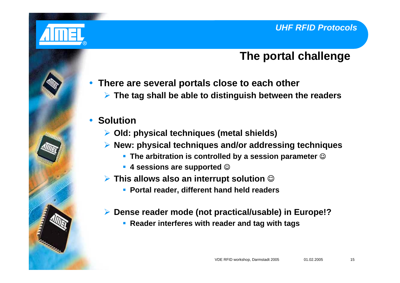

## **The portal challenge**

- **There are several portals close to each other** 
	- ¾ **The tag shall be able to distinguish between the readers**

## **• Solution**

- ¾ **Old: physical techniques (metal shields)**
- ¾ **New: physical techniques and/or addressing techniques**
	- The arbitration is controlled by a session parameter **☺**
	- 4 sessions are supported **☺**
- ¾ **This allows also an interrupt solution**  ☺
	- **Portal reader, different hand held readers**
- ¾ **Dense reader mode (not practical/usable) in Europe!?**
	- **Reader interferes with reader and tag with tags**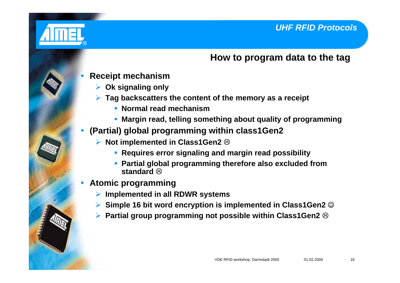

#### **How to program data to the tag**

- $\bullet$  **Receipt mechanism**
	- ¾ **Ok signaling only**
	- ¾ **Tag backscatters the content of the memory as a receipt**
		- **Normal read mechanism**
		- **Margin read, telling something about quality of programming**
- $\bullet$  **(Partial) global programming within class1Gen2**
	- $\blacktriangleright$ **▶ Not implemented in Class1Gen2 <sup>⑧</sup>** 
		- **Requires error signaling and margin read possibility**
		- **Partial global programming therefore also excluded from** standard **⊗**
- $\bullet$  **Atomic programming**
	- ¾**Implemented in all RDWR systems**
	- ¾**▶ Simple 16 bit word encryption is implemented in Class1Gen2 ☺**
	- ¾ **Partial group programming not possible within Class1Gen2**  /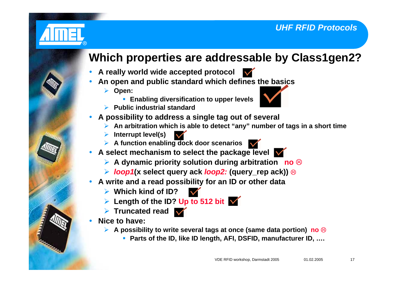

## **Which properties are addressable by Class1gen2?**

- **A really world wide accepted protocol**
- $\bullet$  **An open and public standard which defines the basics**
	- ¾ **Open:**

 $\bullet$ 



- **Enabling diversification to upper levels**
- ¾ **Public industrial standard**
- $\bullet$  **A possibility to address a single tag out of several**
	- ¾ **An arbitration which is able to detect "any" number of tags in a short time**
	- ¾ **Interrupt level(s)**
	- ¾ **A function enabling dock door scenarios**
- $\bullet$ A select mechanism to select the package level **W** 
	- **▶ A dynamic priority solution during arbitration no <sup>⊗</sup>**
	- ¾ *loop1***(x select query ack** *loop2:* **(query\_rep ack))** /
- $\bullet$  **A write and a read possibility for an ID or other data**
	- ¾ **Which kind of ID?**
	- ¾ **Length of the ID? Up to 512 bit**
	- ¾ **Truncated read**
- $\bullet$  **Nice to have:**
	- **▶ A possibility to write several tags at once (same data portion) no <sup>⊗</sup>** 
		- **Parts of the ID, like ID length, AFI, DSFID, manufacturer ID, ….**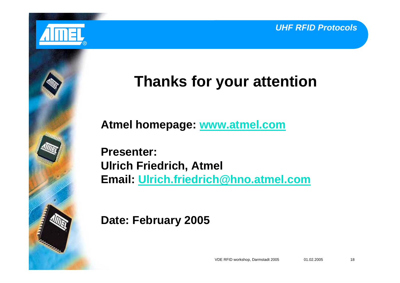



# **Thanks for your attention**

**Atmel homepage: www.atmel.com**

**Presenter:Ulrich Friedrich, Atmel Email: Ulrich.friedrich @hno.atmel.com**

**Date: February 2005**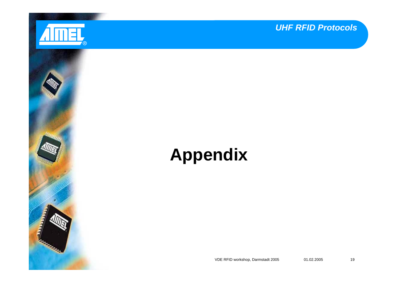

**Rational Contract** 

*UHF RFID Protocols*

# **Appendix**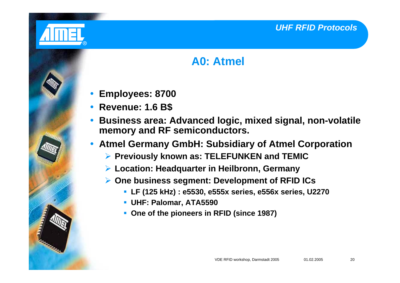

## **A0: Atmel**

- $\bullet$ **Employees: 8700**
- y **Revenue: 1.6 B\$**
- $\bullet$  **Business area: Advanced logic, mixed signal, non-volatile memory and RF semiconductors.**
- **Atmel Germany GmbH: Subsidiary of Atmel Corporation** 
	- ¾ **Previously known as: TELEFUNKEN and TEMIC**
	- ¾ **Location: Headquarter in Heilbronn, Germany**
	- ¾ **One business segment: Development of RFID ICs**
		- **LF (125 kHz) : e5530, e555x series, e556x series, U2270**
		- **UHF: Palomar, ATA5590**
		- **One of the pioneers in RFID (since 1987)**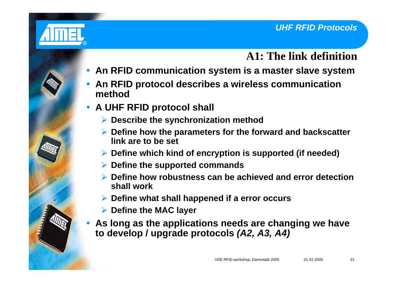

## **A1: The link definition**

- y **An RFID communication system is a master slave system**
- $\bullet$  **An RFID protocol describes a wireless communication method**
- y **A UHF RFID protocol shall**
	- ¾ **Describe the synchronization method**
	- ¾ **Define how the parameters for the forward and backscatter link are to be set**
	- ¾ **Define which kind of encryption is supported (if needed)**
	- ¾ **Define the supported commands**
	- ¾ **Define how robustness can be achieved and error detection shall work**
	- ¾ **Define what shall happened if a error occurs**
	- ¾ **Define the MAC layer**
- $\bullet$  **As long as the applications needs are changing we have to develop / upgrade protocols** *(A2, A3, A4)*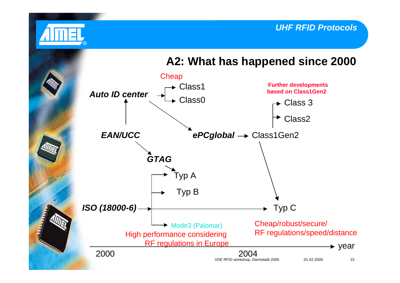

## **A2: What has happened since 2000**

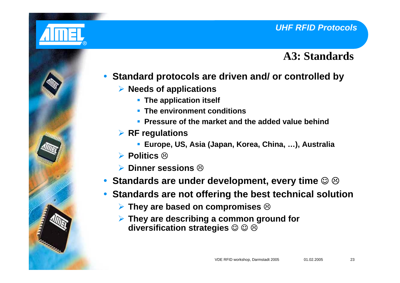

## **A3: Standards**

- $\bullet$  **Standard protocols are driven and/ or controlled by**
	- ¾ **Needs of applications**
		- **The application itself**
		- **The environment conditions**
		- **Pressure of the market and the added value behind**
	- ¾ **RF regulations**
		- **Europe, US, Asia (Japan, Korea, China, …), Australia**
	- ¾ **Politics**  /
	- **▶ Dinner sessions <sup>②</sup>**
- Standards are under development, every time ☺ ☺
- $\bullet$  **Standards are not offering the best technical solution**
	- ¾ **They are based on compromises**  /
	- ¾ **They are describing a common ground for** diversification strategies © © **ල**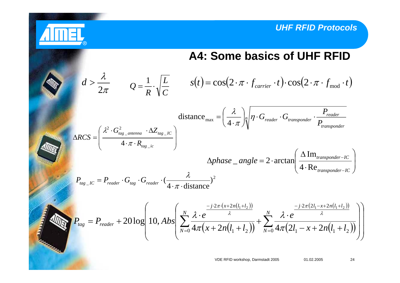*P*



$$
d > \frac{\lambda}{2\pi} \qquad Q = \frac{1}{R} \cdot \sqrt{\frac{L}{C}} \qquad s(t) = \cos(2 \cdot \pi \cdot f_{\text{carrier}} \cdot t) \cdot \cos(2 \cdot \pi \cdot f_{\text{mod}} \cdot t)
$$

®

distance<sub>max</sub> = 
$$
\left(\frac{\lambda}{4 \cdot \pi}\right) \eta \cdot G_{reader} \cdot G_{transport}
$$
  $\cdot \frac{P_{reader}}{P_{transportder}}$   
\n
$$
\Delta RCS = \left(\frac{\lambda^2 \cdot G_{tag\_antenna}^2 \cdot \Delta Z_{tag\_IC}}{4 \cdot \pi \cdot R_{tag\_ic}}\right)
$$
\n
$$
\Delta phase\_angle = 2 \cdot \arctan\left(\frac{\Delta \text{Im}_{transportder} - IC}{4 \cdot \text{Re}_{transportder} - IC}\right)
$$
\n
$$
P_{tag\_IC} = P_{reader} \cdot G_{tag} \cdot G_{reader} \cdot \frac{\lambda}{4 \cdot \pi \cdot \text{distance}}\right)^2
$$

$$
P_{tag} = P_{reader} + 20 \log \left( 10, Abs \left( \sum_{N=0}^{N} \frac{\lambda \cdot e^{-\frac{-j \cdot 2\pi \cdot (x + 2n(l_1 + l_2))}{\lambda}}}{4\pi (x + 2n(l_1 + l_2))} + \sum_{N=0}^{N} \frac{\lambda \cdot e^{-\frac{-j \cdot 2\pi (2l_1 - x + 2n(l_1 + l_2))}{\lambda}}}{4\pi (2l_1 - x + 2n(l_1 + l_2))} \right)
$$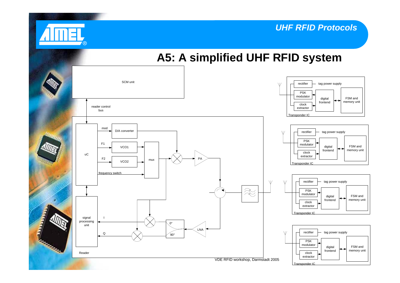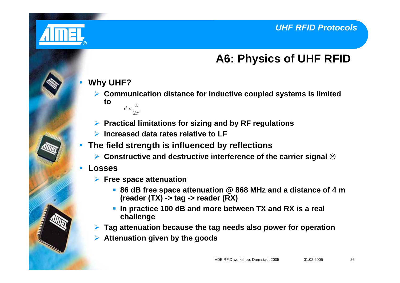

 $\bullet$ 

## **A6: Physics of UHF RFID**

#### **Why UHF?**

- ¾ **Communication distance for inductive coupled systems is limited to**λ
	- π2*d* <
- ¾ **Practical limitations for sizing and by RF regulations**
- ¾ **Increased data rates relative to LF**
- **The field strength is influenced by reflections** 
	- **▶ Constructive and destructive interference of the carrier signal <sup>⊗</sup>**
- $\bullet$  **Losses**
	- ¾ **Free space attenuation**
		- **86 dB free space attenuation @ 868 MHz and a distance of 4 m (reader (TX) -> tag -> reader (RX)**
		- **In practice 100 dB and more between TX and RX is a real challenge**
	- ¾**Tag attenuation because the tag needs also power for operation**
	- ¾**Attenuation given by the goods**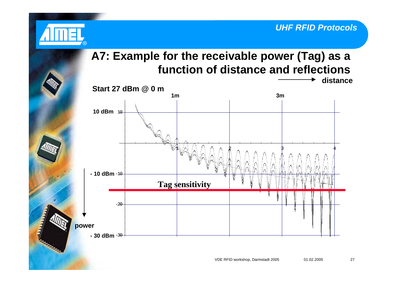

## **A7: Example for the receivable power (Tag) as a function of distance and reflections distance**

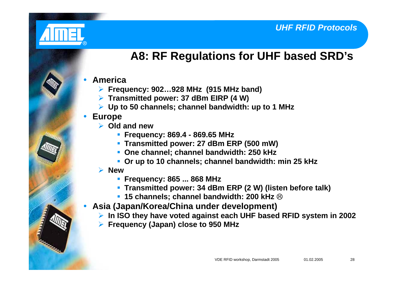

## **A8: RF Regulations for UHF based SRD's**

#### **• America**

- ¾ **Frequency: 902…928 MHz (915 MHz band)**
- ¾ **Transmitted power: 37 dBm EIRP (4 W)**
- ¾ **Up to 50 channels; channel bandwidth: up to 1 MHz**

#### $\bullet$ **Europe**

- ¾ **Old and new**
	- **Frequency: 869.4 869.65 MHz**
	- **Transmitted power: 27 dBm ERP (500 mW)**
	- **One channel; channel bandwidth: 250 kHz**
	- **Or up to 10 channels; channel bandwidth: min 25 kHz**

#### ¾ **New**

- **Frequency: 865 ... 868 MHz**
- **Transmitted power: 34 dBm ERP (2 W) (listen before talk)**
- 15 channels; channel bandwidth: 200 kHz <sup>⊗</sup>
- $\bullet$  **Asia (Japan/Korea/China under development)**
	- ¾ **In ISO they have voted against each UHF based RFID system in 2002**
	- ¾ **Frequency (Japan) close to 950 MHz**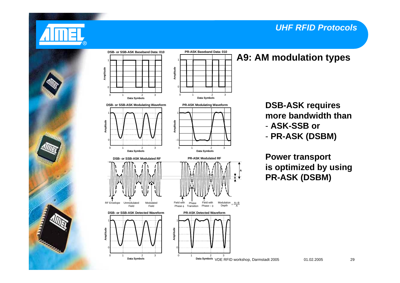



### **A9: AM modulation types**



- - **ASK-SSB or**
- - **PR-ASK (DSBM)**

**Power transport is optimized by using PR-ASK (DSBM)**

**A**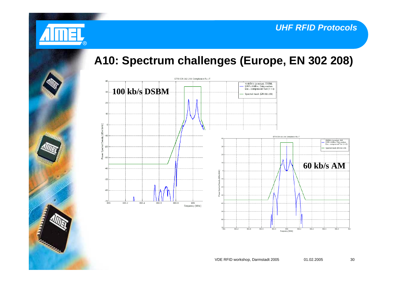

## **A10: Spectrum challenges (Europe, EN 302 208)**

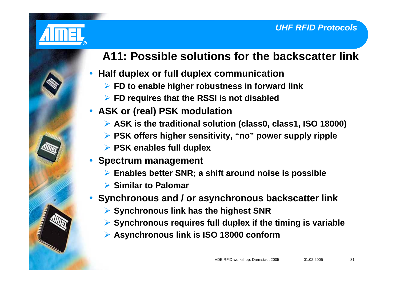

# **A11: Possible solutions for the backscatter link**

#### $\bullet$ **Half duplex or full duplex communication**

- ¾ **FD to enable higher robustness in forward link**
- ¾ **FD requires that the RSSI is not disabled**

## y **ASK or (real) PSK modulation**

- ¾ **ASK is the traditional solution (class0, class1, ISO 18000)**
- ¾ **PSK offers higher sensitivity, "no" power supply ripple**
- ¾ **PSK enables full duplex**
- $\bullet$  **Spectrum management**
	- ¾ **Enables better SNR; a shift around noise is possible**
	- **▶ Similar to Palomar**
- **Synchronous and / or asynchronous backscatter link** 
	- ¾ **Synchronous link has the highest SNR**
	- ¾ **Synchronous requires full duplex if the timing is variable**
	- ¾ **Asynchronous link is ISO 18000 conform**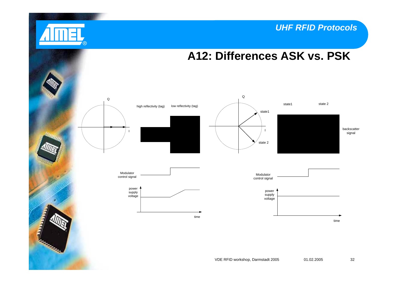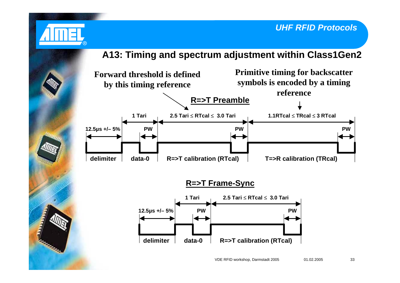#### **A13: Timing and spectrum adjustment within Class1Gen2**

®

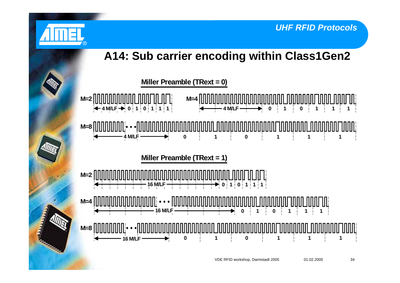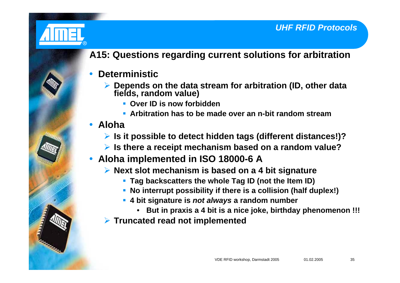

## **A15: Questions regarding current solutions for arbitration**

- $\bullet$  **Deterministic**
	- ¾ **Depends on the data stream for arbitration (ID, other data fields, random value)**
		- **Over ID is now forbidden**
		- **Arbitration has to be made over an n-bit random stream**
- **Aloha** 
	- ¾ **Is it possible to detect hidden tags (different distances!)?**
	- ¾ **Is there a receipt mechanism based on a random value?**
- y **Aloha implemented in ISO 18000-6 A**
	- ¾ **Next slot mechanism is based on a 4 bit signature**
		- **Tag backscatters the whole Tag ID (not the Item ID)**
		- **No interrupt possibility if there is a collision (half duplex!)**
		- **4 bit signature is** *not always* **a random number**
			- **But in praxis a 4 bit is a nice joke, birthday phenomenon !!!**
	- ¾ **Truncated read not implemented**